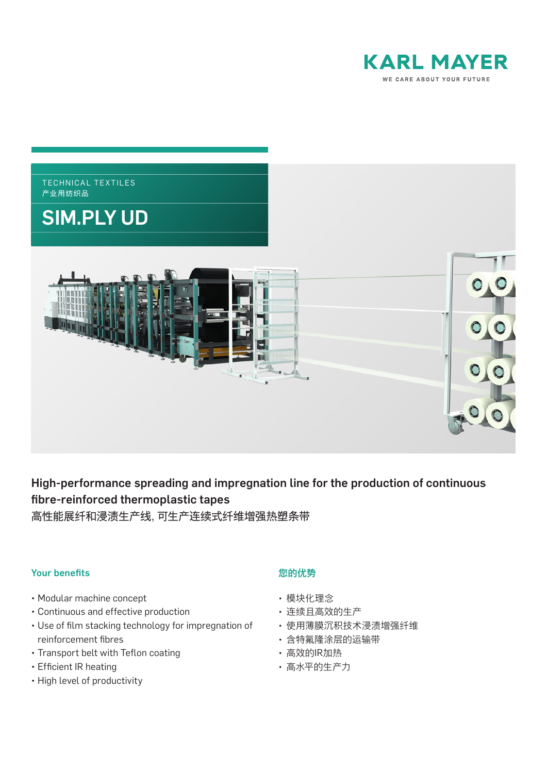



# High-performance spreading and impregnation line for the production of continuous fibre-reinforced thermoplastic tapes

高性能展纤和浸渍生产线,可生产连续式纤维增强热塑条带

### Your benefits

- Modular machine concept
- Continuous and effective production
- Use of film stacking technology for impregnation of reinforcement fibres
- Transport belt with Teflon coating
- Efficient IR heating
- High level of productivity

## 您的优势

- 模块化理念
- 连续且高效的生产
- 使用薄膜沉积技术浸渍增强纤维
- 含特氟隆涂层的运输带
- 高效的IR加热
- 高水平的生产力